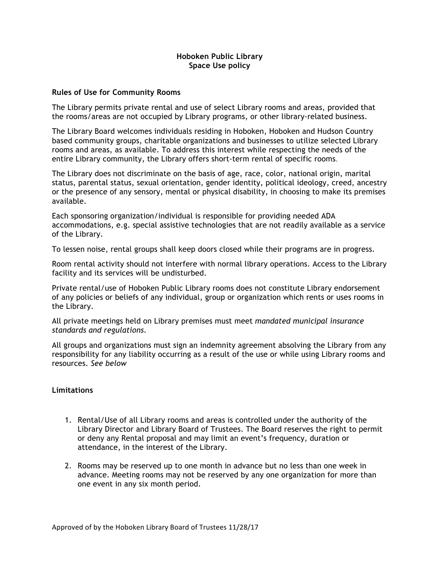# **Hoboken Public Library Space Use policy**

#### **Rules of Use for Community Rooms**

The Library permits private rental and use of select Library rooms and areas, provided that the rooms/areas are not occupied by Library programs, or other library-related business.

The Library Board welcomes individuals residing in Hoboken, Hoboken and Hudson Country based community groups, charitable organizations and businesses to utilize selected Library rooms and areas, as available. To address this interest while respecting the needs of the entire Library community, the Library offers short-term rental of specific rooms.

The Library does not discriminate on the basis of age, race, color, national origin, marital status, parental status, sexual orientation, gender identity, political ideology, creed, ancestry or the presence of any sensory, mental or physical disability, in choosing to make its premises available.

Each sponsoring organization/individual is responsible for providing needed ADA accommodations, e.g. special assistive technologies that are not readily available as a service of the Library.

To lessen noise, rental groups shall keep doors closed while their programs are in progress.

Room rental activity should not interfere with normal library operations. Access to the Library facility and its services will be undisturbed.

Private rental/use of Hoboken Public Library rooms does not constitute Library endorsement of any policies or beliefs of any individual, group or organization which rents or uses rooms in the Library.

All private meetings held on Library premises must meet *mandated municipal insurance standards and regulations.*

All groups and organizations must sign an indemnity agreement absolving the Library from any responsibility for any liability occurring as a result of the use or while using Library rooms and resources. *See below*

#### **Limitations**

- 1. Rental/Use of all Library rooms and areas is controlled under the authority of the Library Director and Library Board of Trustees. The Board reserves the right to permit or deny any Rental proposal and may limit an event's frequency, duration or attendance, in the interest of the Library.
- 2. Rooms may be reserved up to one month in advance but no less than one week in advance. Meeting rooms may not be reserved by any one organization for more than one event in any six month period.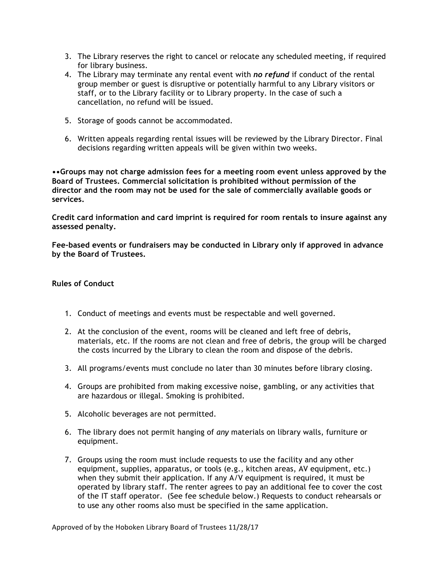- 3. The Library reserves the right to cancel or relocate any scheduled meeting, if required for library business.
- 4. The Library may terminate any rental event with *no refund* if conduct of the rental group member or guest is disruptive or potentially harmful to any Library visitors or staff, or to the Library facility or to Library property. In the case of such a cancellation, no refund will be issued.
- 5. Storage of goods cannot be accommodated.
- 6. Written appeals regarding rental issues will be reviewed by the Library Director. Final decisions regarding written appeals will be given within two weeks.

**••Groups may not charge admission fees for a meeting room event unless approved by the Board of Trustees. Commercial solicitation is prohibited without permission of the director and the room may not be used for the sale of commercially available goods or services.**

**Credit card information and card imprint is required for room rentals to insure against any assessed penalty.** 

**Fee-based events or fundraisers may be conducted in Library only if approved in advance by the Board of Trustees.** 

# **Rules of Conduct**

- 1. Conduct of meetings and events must be respectable and well governed.
- 2. At the conclusion of the event, rooms will be cleaned and left free of debris, materials, etc. If the rooms are not clean and free of debris, the group will be charged the costs incurred by the Library to clean the room and dispose of the debris.
- 3. All programs/events must conclude no later than 30 minutes before library closing.
- 4. Groups are prohibited from making excessive noise, gambling, or any activities that are hazardous or illegal. Smoking is prohibited.
- 5. Alcoholic beverages are not permitted.
- 6. The library does not permit hanging of *any* materials on library walls, furniture or equipment.
- 7. Groups using the room must include requests to use the facility and any other equipment, supplies, apparatus, or tools (e.g., kitchen areas, AV equipment, etc.) when they submit their application. If any A/V equipment is required, it must be operated by library staff. The renter agrees to pay an additional fee to cover the cost of the IT staff operator. (See fee schedule below.) Requests to conduct rehearsals or to use any other rooms also must be specified in the same application.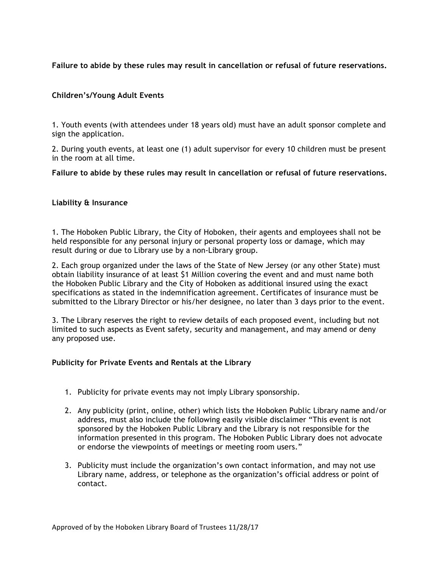# **Failure to abide by these rules may result in cancellation or refusal of future reservations.**

# **Children's/Young Adult Events**

1. Youth events (with attendees under 18 years old) must have an adult sponsor complete and sign the application.

2. During youth events, at least one (1) adult supervisor for every 10 children must be present in the room at all time.

## **Failure to abide by these rules may result in cancellation or refusal of future reservations.**

## **Liability & Insurance**

1. The Hoboken Public Library, the City of Hoboken, their agents and employees shall not be held responsible for any personal injury or personal property loss or damage, which may result during or due to Library use by a non-Library group.

2. Each group organized under the laws of the State of New Jersey (or any other State) must obtain liability insurance of at least \$1 Million covering the event and and must name both the Hoboken Public Library and the City of Hoboken as additional insured using the exact specifications as stated in the indemnification agreement. Certificates of insurance must be submitted to the Library Director or his/her designee, no later than 3 days prior to the event.

3. The Library reserves the right to review details of each proposed event, including but not limited to such aspects as Event safety, security and management, and may amend or deny any proposed use.

#### **Publicity for Private Events and Rentals at the Library**

- 1. Publicity for private events may not imply Library sponsorship.
- 2. Any publicity (print, online, other) which lists the Hoboken Public Library name and/or address, must also include the following easily visible disclaimer "This event is not sponsored by the Hoboken Public Library and the Library is not responsible for the information presented in this program. The Hoboken Public Library does not advocate or endorse the viewpoints of meetings or meeting room users."
- 3. Publicity must include the organization's own contact information, and may not use Library name, address, or telephone as the organization's official address or point of contact.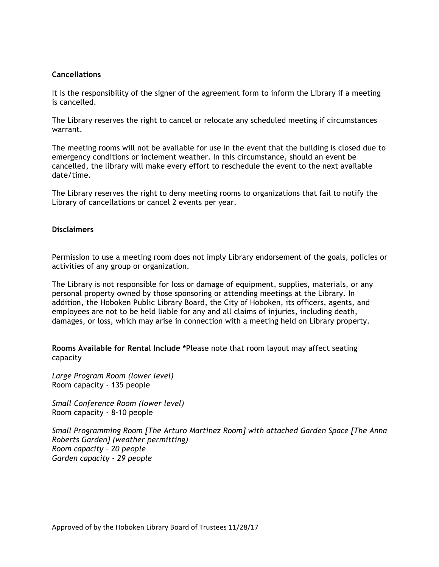## **Cancellations**

It is the responsibility of the signer of the agreement form to inform the Library if a meeting is cancelled.

The Library reserves the right to cancel or relocate any scheduled meeting if circumstances warrant.

The meeting rooms will not be available for use in the event that the building is closed due to emergency conditions or inclement weather. In this circumstance, should an event be cancelled, the library will make every effort to reschedule the event to the next available date/time.

The Library reserves the right to deny meeting rooms to organizations that fail to notify the Library of cancellations or cancel 2 events per year.

#### **Disclaimers**

Permission to use a meeting room does not imply Library endorsement of the goals, policies or activities of any group or organization.

The Library is not responsible for loss or damage of equipment, supplies, materials, or any personal property owned by those sponsoring or attending meetings at the Library. In addition, the Hoboken Public Library Board, the City of Hoboken, its officers, agents, and employees are not to be held liable for any and all claims of injuries, including death, damages, or loss, which may arise in connection with a meeting held on Library property.

**Rooms Available for Rental Include \***Please note that room layout may affect seating capacity

*Large Program Room (lower level)* Room capacity - 135 people

*Small Conference Room (lower level)* Room capacity - 8-10 people

*Small Programming Room [The Arturo Martinez Room] with attached Garden Space [The Anna Roberts Garden] (weather permitting) Room capacity – 20 people Garden capacity - 29 people*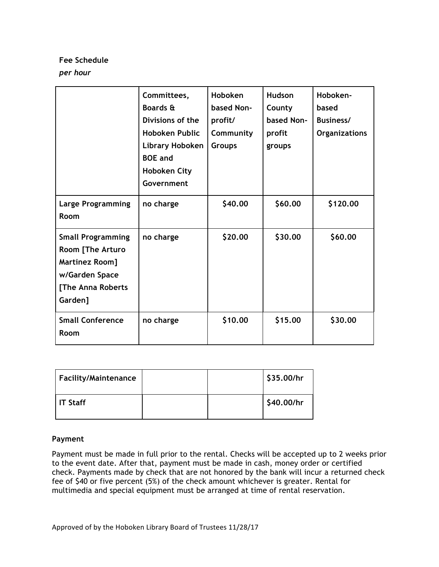# **Fee Schedule**

# *per hour*

|                                                                                                                  | Committees,<br><b>Boards &amp;</b><br>Divisions of the<br>Hoboken Public<br>Library Hoboken<br><b>BOE</b> and<br><b>Hoboken City</b><br>Government | Hoboken<br>based Non-<br>profit/<br>Community<br><b>Groups</b> | <b>Hudson</b><br>County<br>based Non-<br>profit<br>groups | Hoboken-<br>based<br>Business/<br><b>Organizations</b> |
|------------------------------------------------------------------------------------------------------------------|----------------------------------------------------------------------------------------------------------------------------------------------------|----------------------------------------------------------------|-----------------------------------------------------------|--------------------------------------------------------|
| <b>Large Programming</b><br>Room                                                                                 | no charge                                                                                                                                          | \$40.00                                                        | \$60.00                                                   | \$120.00                                               |
| <b>Small Programming</b><br>Room [The Arturo<br>Martinez Room]<br>w/Garden Space<br>[The Anna Roberts<br>Garden] | no charge                                                                                                                                          | \$20.00                                                        | \$30.00                                                   | \$60.00                                                |
| <b>Small Conference</b><br>Room                                                                                  | no charge                                                                                                                                          | \$10.00                                                        | \$15.00                                                   | \$30.00                                                |

| Facility/Maintenance |  | \$35.00/hr |
|----------------------|--|------------|
| IT Staff             |  | S40.00/hr  |

# **Payment**

Payment must be made in full prior to the rental. Checks will be accepted up to 2 weeks prior to the event date. After that, payment must be made in cash, money order or certified check. Payments made by check that are not honored by the bank will incur a returned check fee of \$40 or five percent (5%) of the check amount whichever is greater. Rental for multimedia and special equipment must be arranged at time of rental reservation.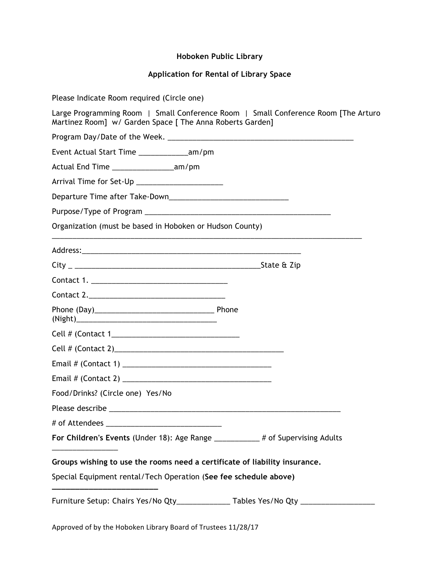# **Hoboken Public Library**

# **Application for Rental of Library Space**

| Please Indicate Room required (Circle one)                                                                                                      |
|-------------------------------------------------------------------------------------------------------------------------------------------------|
| Large Programming Room   Small Conference Room   Small Conference Room [The Arturo<br>Martinez Room] w/ Garden Space [ The Anna Roberts Garden] |
|                                                                                                                                                 |
| Event Actual Start Time ________________am/pm                                                                                                   |
| Actual End Time ____________________am/pm                                                                                                       |
| Arrival Time for Set-Up ______________________                                                                                                  |
|                                                                                                                                                 |
|                                                                                                                                                 |
| Organization (must be based in Hoboken or Hudson County)                                                                                        |
|                                                                                                                                                 |
|                                                                                                                                                 |
|                                                                                                                                                 |
|                                                                                                                                                 |
|                                                                                                                                                 |
|                                                                                                                                                 |
|                                                                                                                                                 |
|                                                                                                                                                 |
|                                                                                                                                                 |
| Food/Drinks? (Circle one) Yes/No                                                                                                                |
| Please describe ________                                                                                                                        |
|                                                                                                                                                 |
| For Children's Events (Under 18): Age Range __________# of Supervising Adults                                                                   |
| Groups wishing to use the rooms need a certificate of liability insurance.                                                                      |
| Special Equipment rental/Tech Operation (See fee schedule above)                                                                                |
| Furniture Setup: Chairs Yes/No Qty_______________ Tables Yes/No Qty _____________                                                               |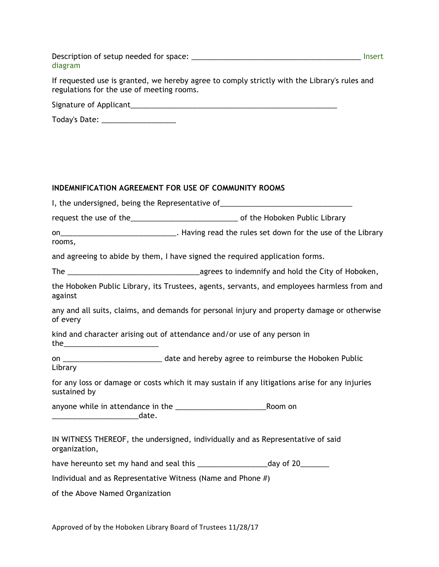Description of setup needed for space: \_\_\_\_\_\_\_\_\_\_\_\_\_\_\_\_\_\_\_\_\_\_\_\_\_\_\_\_\_\_\_\_\_\_\_\_\_\_\_\_\_ Insert diagram

If requested use is granted, we hereby agree to comply strictly with the Library's rules and regulations for the use of meeting rooms.

Signature of Applicant\_\_\_\_\_\_\_\_\_\_\_\_\_\_\_\_\_\_\_\_\_\_\_\_\_\_\_\_\_\_\_\_\_\_\_\_\_\_\_\_\_\_\_\_\_\_\_\_\_\_

| Today's Date: |  |
|---------------|--|
|---------------|--|

## **INDEMNIFICATION AGREEMENT FOR USE OF COMMUNITY ROOMS**

|               | I, the undersigned, being the Representative of_________________________________               |  |  |
|---------------|------------------------------------------------------------------------------------------------|--|--|
|               | request the use of the___________________________________ of the Hoboken Public Library        |  |  |
| rooms,        | on_________________________________. Having read the rules set down for the use of the Library |  |  |
|               | and agreeing to abide by them, I have signed the required application forms.                   |  |  |
|               |                                                                                                |  |  |
| against       | the Hoboken Public Library, its Trustees, agents, servants, and employees harmless from and    |  |  |
| of every      | any and all suits, claims, and demands for personal injury and property damage or otherwise    |  |  |
|               | kind and character arising out of attendance and/or use of any person in                       |  |  |
| Library       |                                                                                                |  |  |
| sustained by  | for any loss or damage or costs which it may sustain if any litigations arise for any injuries |  |  |
|               |                                                                                                |  |  |
| organization, | IN WITNESS THEREOF, the undersigned, individually and as Representative of said                |  |  |
|               |                                                                                                |  |  |
|               | Individual and as Representative Witness (Name and Phone #)                                    |  |  |

of the Above Named Organization

Approved of by the Hoboken Library Board of Trustees 11/28/17